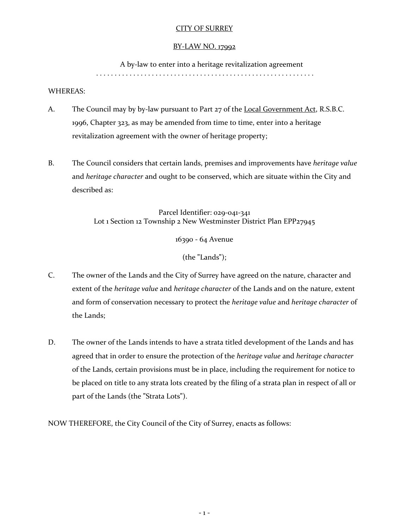### CITY OF SURREY

#### BY-LAW NO. 17992

A by-law to enter into a heritage revitalization agreement

. . . . . . . . . . . . . . . . . . . . . . . . . . . . . . . . . . . . . . . . . . . . . . . . . . . . . . . . . . .

#### WHEREAS:

- A. The Council may by by-law pursuant to Part 27 of the Local Government Act, R.S.B.C. 1996, Chapter 323, as may be amended from time to time, enter into a heritage revitalization agreement with the owner of heritage property;
- B. The Council considers that certain lands, premises and improvements have *heritage value* and *heritage character* and ought to be conserved, which are situate within the City and described as:

Parcel Identifier: 029-041-341 Lot 1 Section 12 Township 2 New Westminster District Plan EPP27945

16390 - 64 Avenue

(the **"**Lands**"**);

- C. The owner of the Lands and the City of Surrey have agreed on the nature, character and extent of the *heritage value* and *heritage character* of the Lands and on the nature, extent and form of conservation necessary to protect the *heritage value* and *heritage character* of the Lands;
- D. The owner of the Lands intends to have a strata titled development of the Lands and has agreed that in order to ensure the protection of the *heritage value* and *heritage character* of the Lands, certain provisions must be in place, including the requirement for notice to be placed on title to any strata lots created by the filing of a strata plan in respect of all or part of the Lands (the **"**Strata Lots**"**).

NOW THEREFORE, the City Council of the City of Surrey, enacts as follows: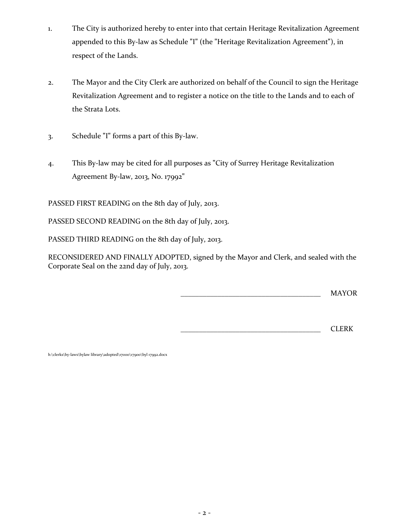- 1. The City is authorized hereby to enter into that certain Heritage Revitalization Agreement appended to this By-law as Schedule **"**I**"** (the **"**Heritage Revitalization Agreement**"**), in respect of the Lands.
- 2. The Mayor and the City Clerk are authorized on behalf of the Council to sign the Heritage Revitalization Agreement and to register a notice on the title to the Lands and to each of the Strata Lots.
- 3. Schedule **"**I**"** forms a part of this By-law.
- 4. This By-law may be cited for all purposes as **"**City of Surrey Heritage Revitalization Agreement By-law, 2013, No. 17992**"**

PASSED FIRST READING on the 8th day of July, 2013.

PASSED SECOND READING on the 8th day of July, 2013.

PASSED THIRD READING on the 8th day of July, 2013.

RECONSIDERED AND FINALLY ADOPTED, signed by the Mayor and Clerk, and sealed with the Corporate Seal on the 22nd day of July, 2013.

\_\_\_\_\_\_\_\_\_\_\_\_\_\_\_\_\_\_\_\_\_\_\_\_\_\_\_\_\_\_\_\_\_\_\_\_\_\_ MAYOR

\_\_\_\_\_\_\_\_\_\_\_\_\_\_\_\_\_\_\_\_\_\_\_\_\_\_\_\_\_\_\_\_\_\_\_\_\_\_ CLERK

h:\clerks\by-laws\bylaw library\adopted\17000\17900\byl 17992.docx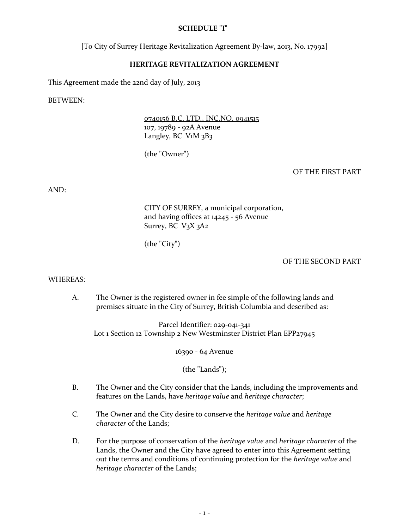### **SCHEDULE "I"**

[To City of Surrey Heritage Revitalization Agreement By-law, 2013, No. 17992]

### **HERITAGE REVITALIZATION AGREEMENT**

This Agreement made the 22nd day of July, 2013

BETWEEN:

0740156 B.C. LTD., INC.NO. 0941515 107, 19789 - 92A Avenue Langley, BC V<sub>1</sub>M 3B3

(the "Owner")

### OF THE FIRST PART

AND:

CITY OF SURREY, a municipal corporation, and having offices at 14245 - 56 Avenue Surrey, BC V3X 3A2

(the "City")

### OF THE SECOND PART

#### WHEREAS:

A. The Owner is the registered owner in fee simple of the following lands and premises situate in the City of Surrey, British Columbia and described as:

Parcel Identifier: 029-041-341 Lot 1 Section 12 Township 2 New Westminster District Plan EPP27945

16390 - 64 Avenue

(the **"**Lands**"**);

- B. The Owner and the City consider that the Lands, including the improvements and features on the Lands, have *heritage value* and *heritage character*;
- C. The Owner and the City desire to conserve the *heritage value* and *heritage character* of the Lands;
- D. For the purpose of conservation of the *heritage value* and *heritage character* of the Lands, the Owner and the City have agreed to enter into this Agreement setting out the terms and conditions of continuing protection for the *heritage value* and *heritage character* of the Lands;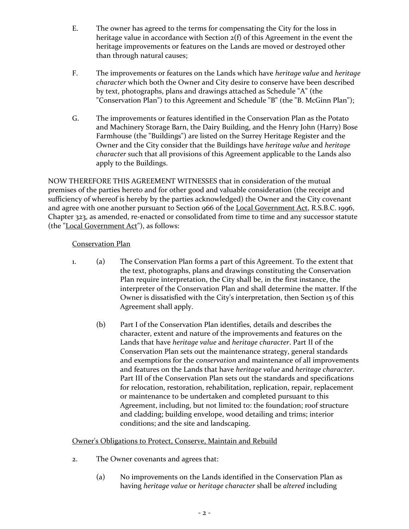- E. The owner has agreed to the terms for compensating the City for the loss in heritage value in accordance with Section 2(f) of this Agreement in the event the heritage improvements or features on the Lands are moved or destroyed other than through natural causes;
- F. The improvements or features on the Lands which have *heritage value* and *heritage character* which both the Owner and City desire to conserve have been described by text, photographs, plans and drawings attached as Schedule "A" (the "Conservation Plan") to this Agreement and Schedule "B" (the "B. McGinn Plan");
- G. The improvements or features identified in the Conservation Plan as the Potato and Machinery Storage Barn, the Dairy Building, and the Henry John (Harry) Bose Farmhouse (the "Buildings") are listed on the Surrey Heritage Register and the Owner and the City consider that the Buildings have *heritage value* and *heritage character* such that all provisions of this Agreement applicable to the Lands also apply to the Buildings.

NOW THEREFORE THIS AGREEMENT WITNESSES that in consideration of the mutual premises of the parties hereto and for other good and valuable consideration (the receipt and sufficiency of whereof is hereby by the parties acknowledged) the Owner and the City covenant and agree with one another pursuant to Section 966 of the Local Government Act, R.S.B.C. 1996, Chapter 323, as amended, re-enacted or consolidated from time to time and any successor statute (the "Local Government Act"), as follows:

### Conservation Plan

- 1. (a) The Conservation Plan forms a part of this Agreement. To the extent that the text, photographs, plans and drawings constituting the Conservation Plan require interpretation, the City shall be, in the first instance, the interpreter of the Conservation Plan and shall determine the matter. If the Owner is dissatisfied with the City's interpretation, then Section 15 of this Agreement shall apply.
	- (b) Part I of the Conservation Plan identifies, details and describes the character, extent and nature of the improvements and features on the Lands that have *heritage value* and *heritage character*. Part II of the Conservation Plan sets out the maintenance strategy, general standards and exemptions for the *conservation* and maintenance of all improvements and features on the Lands that have *heritage value* and *heritage character*. Part III of the Conservation Plan sets out the standards and specifications for relocation, restoration, rehabilitation, replication, repair, replacement or maintenance to be undertaken and completed pursuant to this Agreement, including, but not limited to: the foundation; roof structure and cladding; building envelope, wood detailing and trims; interior conditions; and the site and landscaping.

## Owner's Obligations to Protect, Conserve, Maintain and Rebuild

- 2. The Owner covenants and agrees that:
	- (a) No improvements on the Lands identified in the Conservation Plan as having *heritage value* or *heritage character* shall be *altered* including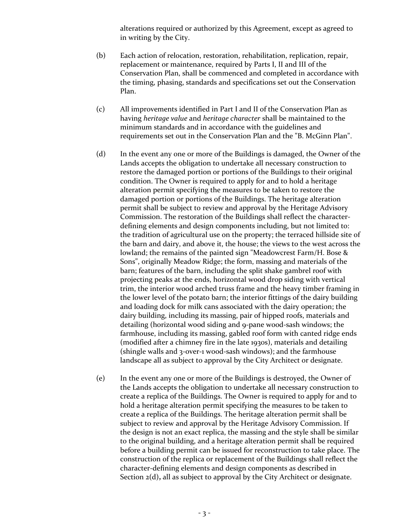alterations required or authorized by this Agreement, except as agreed to in writing by the City.

- (b) Each action of relocation, restoration, rehabilitation, replication, repair, replacement or maintenance, required by Parts I, II and III of the Conservation Plan, shall be commenced and completed in accordance with the timing, phasing, standards and specifications set out the Conservation Plan.
- (c) All improvements identified in Part I and II of the Conservation Plan as having *heritage value* and *heritage character* shall be maintained to the minimum standards and in accordance with the guidelines and requirements set out in the Conservation Plan and the "B. McGinn Plan".
- (d) In the event any one or more of the Buildings is damaged, the Owner of the Lands accepts the obligation to undertake all necessary construction to restore the damaged portion or portions of the Buildings to their original condition. The Owner is required to apply for and to hold a heritage alteration permit specifying the measures to be taken to restore the damaged portion or portions of the Buildings. The heritage alteration permit shall be subject to review and approval by the Heritage Advisory Commission. The restoration of the Buildings shall reflect the characterdefining elements and design components including, but not limited to: the tradition of agricultural use on the property; the terraced hillside site of the barn and dairy, and above it, the house; the views to the west across the lowland; the remains of the painted sign "Meadowcrest Farm/H. Bose & Sons", originally Meadow Ridge; the form, massing and materials of the barn; features of the barn, including the split shake gambrel roof with projecting peaks at the ends, horizontal wood drop siding with vertical trim, the interior wood arched truss frame and the heavy timber framing in the lower level of the potato barn; the interior fittings of the dairy building and loading dock for milk cans associated with the dairy operation; the dairy building, including its massing, pair of hipped roofs, materials and detailing (horizontal wood siding and 9-pane wood-sash windows; the farmhouse, including its massing, gabled roof form with canted ridge ends (modified after a chimney fire in the late 1930s), materials and detailing (shingle walls and 3-over-1 wood-sash windows); and the farmhouse landscape all as subject to approval by the City Architect or designate.
- (e) In the event any one or more of the Buildings is destroyed, the Owner of the Lands accepts the obligation to undertake all necessary construction to create a replica of the Buildings. The Owner is required to apply for and to hold a heritage alteration permit specifying the measures to be taken to create a replica of the Buildings. The heritage alteration permit shall be subject to review and approval by the Heritage Advisory Commission. If the design is not an exact replica, the massing and the style shall be similar to the original building, and a heritage alteration permit shall be required before a building permit can be issued for reconstruction to take place. The construction of the replica or replacement of the Buildings shall reflect the character-defining elements and design components as described in Section 2(d), all as subject to approval by the City Architect or designate.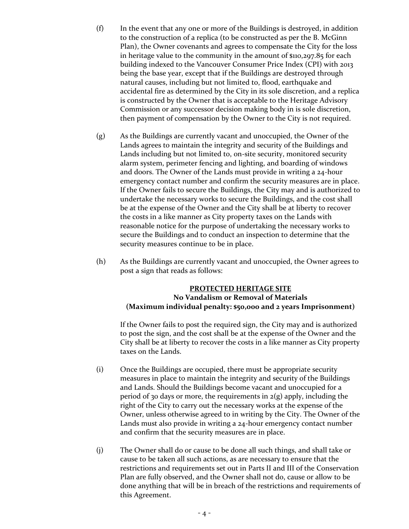- (f) In the event that any one or more of the Buildings is destroyed, in addition to the construction of a replica (to be constructed as per the B. McGinn Plan), the Owner covenants and agrees to compensate the City for the loss in heritage value to the community in the amount of \$110,297.85 for each building indexed to the Vancouver Consumer Price Index (CPI) with 2013 being the base year, except that if the Buildings are destroyed through natural causes, including but not limited to, flood, earthquake and accidental fire as determined by the City in its sole discretion, and a replica is constructed by the Owner that is acceptable to the Heritage Advisory Commission or any successor decision making body in is sole discretion, then payment of compensation by the Owner to the City is not required.
- (g) As the Buildings are currently vacant and unoccupied, the Owner of the Lands agrees to maintain the integrity and security of the Buildings and Lands including but not limited to, on-site security, monitored security alarm system, perimeter fencing and lighting, and boarding of windows and doors. The Owner of the Lands must provide in writing a 24-hour emergency contact number and confirm the security measures are in place. If the Owner fails to secure the Buildings, the City may and is authorized to undertake the necessary works to secure the Buildings, and the cost shall be at the expense of the Owner and the City shall be at liberty to recover the costs in a like manner as City property taxes on the Lands with reasonable notice for the purpose of undertaking the necessary works to secure the Buildings and to conduct an inspection to determine that the security measures continue to be in place.
- (h) As the Buildings are currently vacant and unoccupied, the Owner agrees to post a sign that reads as follows:

### **PROTECTED HERITAGE SITE No Vandalism or Removal of Materials (Maximum individual penalty: \$50,000 and 2 years Imprisonment)**

If the Owner fails to post the required sign, the City may and is authorized to post the sign, and the cost shall be at the expense of the Owner and the City shall be at liberty to recover the costs in a like manner as City property taxes on the Lands.

- (i) Once the Buildings are occupied, there must be appropriate security measures in place to maintain the integrity and security of the Buildings and Lands. Should the Buildings become vacant and unoccupied for a period of 30 days or more, the requirements in  $2(g)$  apply, including the right of the City to carry out the necessary works at the expense of the Owner, unless otherwise agreed to in writing by the City. The Owner of the Lands must also provide in writing a 24-hour emergency contact number and confirm that the security measures are in place.
- (j) The Owner shall do or cause to be done all such things, and shall take or cause to be taken all such actions, as are necessary to ensure that the restrictions and requirements set out in Parts II and III of the Conservation Plan are fully observed, and the Owner shall not do, cause or allow to be done anything that will be in breach of the restrictions and requirements of this Agreement.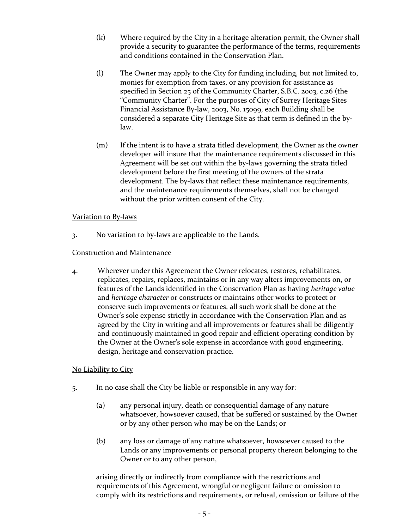- (k) Where required by the City in a heritage alteration permit, the Owner shall provide a security to guarantee the performance of the terms, requirements and conditions contained in the Conservation Plan.
- (l) The Owner may apply to the City for funding including, but not limited to, monies for exemption from taxes, or any provision for assistance as specified in Section 25 of the Community Charter, S.B.C. 2003, c.26 (the "Community Charter". For the purposes of City of Surrey Heritage Sites Financial Assistance By-law, 2003, No. 15099, each Building shall be considered a separate City Heritage Site as that term is defined in the bylaw.
- (m) If the intent is to have a strata titled development, the Owner as the owner developer will insure that the maintenance requirements discussed in this Agreement will be set out within the by-laws governing the strata titled development before the first meeting of the owners of the strata development. The by-laws that reflect these maintenance requirements, and the maintenance requirements themselves, shall not be changed without the prior written consent of the City.

### Variation to By-laws

3. No variation to by-laws are applicable to the Lands.

### Construction and Maintenance

4. Wherever under this Agreement the Owner relocates, restores, rehabilitates, replicates, repairs, replaces, maintains or in any way alters improvements on, or features of the Lands identified in the Conservation Plan as having *heritage value* and *heritage character* or constructs or maintains other works to protect or conserve such improvements or features, all such work shall be done at the Owner's sole expense strictly in accordance with the Conservation Plan and as agreed by the City in writing and all improvements or features shall be diligently and continuously maintained in good repair and efficient operating condition by the Owner at the Owner's sole expense in accordance with good engineering, design, heritage and conservation practice.

## No Liability to City

- 5. In no case shall the City be liable or responsible in any way for:
	- (a) any personal injury, death or consequential damage of any nature whatsoever, howsoever caused, that be suffered or sustained by the Owner or by any other person who may be on the Lands; or
	- (b) any loss or damage of any nature whatsoever, howsoever caused to the Lands or any improvements or personal property thereon belonging to the Owner or to any other person,

arising directly or indirectly from compliance with the restrictions and requirements of this Agreement, wrongful or negligent failure or omission to comply with its restrictions and requirements, or refusal, omission or failure of the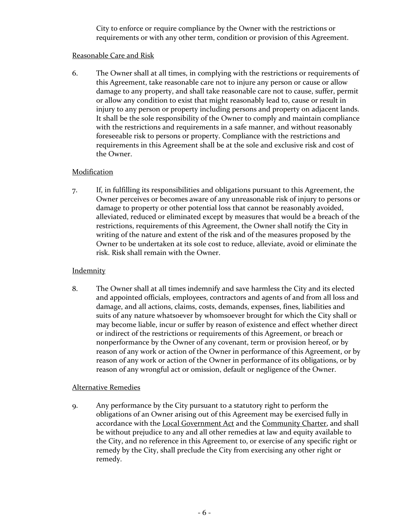City to enforce or require compliance by the Owner with the restrictions or requirements or with any other term, condition or provision of this Agreement.

#### Reasonable Care and Risk

6. The Owner shall at all times, in complying with the restrictions or requirements of this Agreement, take reasonable care not to injure any person or cause or allow damage to any property, and shall take reasonable care not to cause, suffer, permit or allow any condition to exist that might reasonably lead to, cause or result in injury to any person or property including persons and property on adjacent lands. It shall be the sole responsibility of the Owner to comply and maintain compliance with the restrictions and requirements in a safe manner, and without reasonably foreseeable risk to persons or property. Compliance with the restrictions and requirements in this Agreement shall be at the sole and exclusive risk and cost of the Owner.

### **Modification**

7. If, in fulfilling its responsibilities and obligations pursuant to this Agreement, the Owner perceives or becomes aware of any unreasonable risk of injury to persons or damage to property or other potential loss that cannot be reasonably avoided, alleviated, reduced or eliminated except by measures that would be a breach of the restrictions, requirements of this Agreement, the Owner shall notify the City in writing of the nature and extent of the risk and of the measures proposed by the Owner to be undertaken at its sole cost to reduce, alleviate, avoid or eliminate the risk. Risk shall remain with the Owner.

### **Indemnity**

8. The Owner shall at all times indemnify and save harmless the City and its elected and appointed officials, employees, contractors and agents of and from all loss and damage, and all actions, claims, costs, demands, expenses, fines, liabilities and suits of any nature whatsoever by whomsoever brought for which the City shall or may become liable, incur or suffer by reason of existence and effect whether direct or indirect of the restrictions or requirements of this Agreement, or breach or nonperformance by the Owner of any covenant, term or provision hereof, or by reason of any work or action of the Owner in performance of this Agreement, or by reason of any work or action of the Owner in performance of its obligations, or by reason of any wrongful act or omission, default or negligence of the Owner.

### Alternative Remedies

9. Any performance by the City pursuant to a statutory right to perform the obligations of an Owner arising out of this Agreement may be exercised fully in accordance with the Local Government Act and the Community Charter, and shall be without prejudice to any and all other remedies at law and equity available to the City, and no reference in this Agreement to, or exercise of any specific right or remedy by the City, shall preclude the City from exercising any other right or remedy.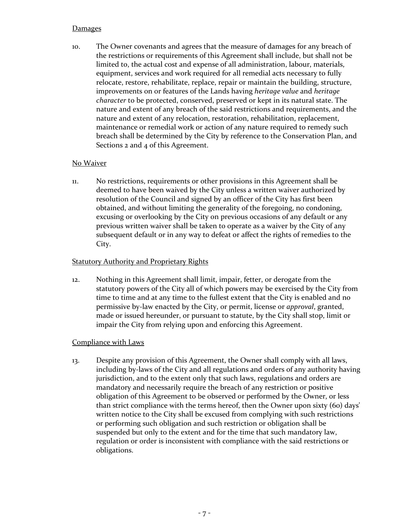### **Damages**

10. The Owner covenants and agrees that the measure of damages for any breach of the restrictions or requirements of this Agreement shall include, but shall not be limited to, the actual cost and expense of all administration, labour, materials, equipment, services and work required for all remedial acts necessary to fully relocate, restore, rehabilitate, replace, repair or maintain the building, structure, improvements on or features of the Lands having *heritage value* and *heritage character* to be protected, conserved, preserved or kept in its natural state. The nature and extent of any breach of the said restrictions and requirements, and the nature and extent of any relocation, restoration, rehabilitation, replacement, maintenance or remedial work or action of any nature required to remedy such breach shall be determined by the City by reference to the Conservation Plan, and Sections 2 and 4 of this Agreement.

### No Waiver

11. No restrictions, requirements or other provisions in this Agreement shall be deemed to have been waived by the City unless a written waiver authorized by resolution of the Council and signed by an officer of the City has first been obtained, and without limiting the generality of the foregoing, no condoning, excusing or overlooking by the City on previous occasions of any default or any previous written waiver shall be taken to operate as a waiver by the City of any subsequent default or in any way to defeat or affect the rights of remedies to the City.

### Statutory Authority and Proprietary Rights

12. Nothing in this Agreement shall limit, impair, fetter, or derogate from the statutory powers of the City all of which powers may be exercised by the City from time to time and at any time to the fullest extent that the City is enabled and no permissive by-law enacted by the City, or permit, license or *approval*, granted, made or issued hereunder, or pursuant to statute, by the City shall stop, limit or impair the City from relying upon and enforcing this Agreement.

### Compliance with Laws

13. Despite any provision of this Agreement, the Owner shall comply with all laws, including by-laws of the City and all regulations and orders of any authority having jurisdiction, and to the extent only that such laws, regulations and orders are mandatory and necessarily require the breach of any restriction or positive obligation of this Agreement to be observed or performed by the Owner, or less than strict compliance with the terms hereof, then the Owner upon sixty (60) days' written notice to the City shall be excused from complying with such restrictions or performing such obligation and such restriction or obligation shall be suspended but only to the extent and for the time that such mandatory law, regulation or order is inconsistent with compliance with the said restrictions or obligations.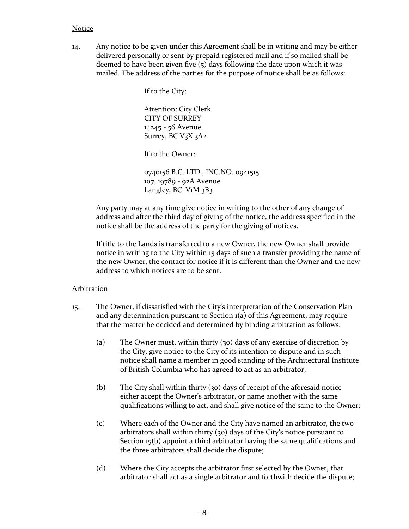#### Notice

14. Any notice to be given under this Agreement shall be in writing and may be either delivered personally or sent by prepaid registered mail and if so mailed shall be deemed to have been given five (5) days following the date upon which it was mailed. The address of the parties for the purpose of notice shall be as follows:

If to the City:

Attention: City Clerk CITY OF SURREY 14245 - 56 Avenue Surrey, BC V3X 3A2

If to the Owner:

0740156 B.C. LTD., INC.NO. 0941515 107, 19789 - 92A Avenue Langley, BC V<sub>1</sub>M 3B3

Any party may at any time give notice in writing to the other of any change of address and after the third day of giving of the notice, the address specified in the notice shall be the address of the party for the giving of notices.

If title to the Lands is transferred to a new Owner, the new Owner shall provide notice in writing to the City within 15 days of such a transfer providing the name of the new Owner, the contact for notice if it is different than the Owner and the new address to which notices are to be sent.

#### Arbitration

- 15. The Owner, if dissatisfied with the City's interpretation of the Conservation Plan and any determination pursuant to Section 1(a) of this Agreement, may require that the matter be decided and determined by binding arbitration as follows:
	- (a) The Owner must, within thirty (30) days of any exercise of discretion by the City, give notice to the City of its intention to dispute and in such notice shall name a member in good standing of the Architectural Institute of British Columbia who has agreed to act as an arbitrator;
	- (b) The City shall within thirty (30) days of receipt of the aforesaid notice either accept the Owner's arbitrator, or name another with the same qualifications willing to act, and shall give notice of the same to the Owner;
	- (c) Where each of the Owner and the City have named an arbitrator, the two arbitrators shall within thirty (30) days of the City's notice pursuant to Section 15(b) appoint a third arbitrator having the same qualifications and the three arbitrators shall decide the dispute;
	- (d) Where the City accepts the arbitrator first selected by the Owner, that arbitrator shall act as a single arbitrator and forthwith decide the dispute;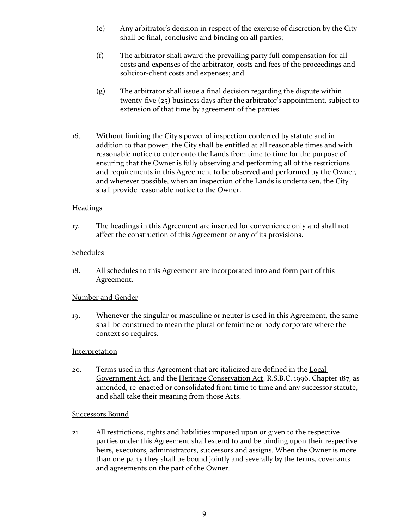- (e) Any arbitrator's decision in respect of the exercise of discretion by the City shall be final, conclusive and binding on all parties;
- (f) The arbitrator shall award the prevailing party full compensation for all costs and expenses of the arbitrator, costs and fees of the proceedings and solicitor-client costs and expenses; and
- (g) The arbitrator shall issue a final decision regarding the dispute within twenty-five (25) business days after the arbitrator's appointment, subject to extension of that time by agreement of the parties.
- 16. Without limiting the City's power of inspection conferred by statute and in addition to that power, the City shall be entitled at all reasonable times and with reasonable notice to enter onto the Lands from time to time for the purpose of ensuring that the Owner is fully observing and performing all of the restrictions and requirements in this Agreement to be observed and performed by the Owner, and wherever possible, when an inspection of the Lands is undertaken, the City shall provide reasonable notice to the Owner.

### **Headings**

17. The headings in this Agreement are inserted for convenience only and shall not affect the construction of this Agreement or any of its provisions.

#### Schedules

18. All schedules to this Agreement are incorporated into and form part of this Agreement.

### Number and Gender

19. Whenever the singular or masculine or neuter is used in this Agreement, the same shall be construed to mean the plural or feminine or body corporate where the context so requires.

#### **Interpretation**

20. Terms used in this Agreement that are italicized are defined in the Local Government Act, and the Heritage Conservation Act, R.S.B.C. 1996, Chapter 187, as amended, re-enacted or consolidated from time to time and any successor statute, and shall take their meaning from those Acts.

#### Successors Bound

21. All restrictions, rights and liabilities imposed upon or given to the respective parties under this Agreement shall extend to and be binding upon their respective heirs, executors, administrators, successors and assigns. When the Owner is more than one party they shall be bound jointly and severally by the terms, covenants and agreements on the part of the Owner.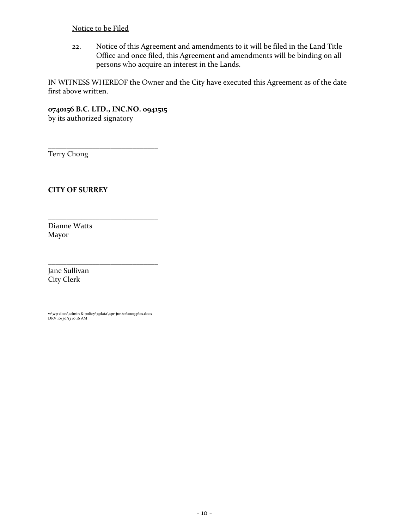### Notice to be Filed

22. Notice of this Agreement and amendments to it will be filed in the Land Title Office and once filed, this Agreement and amendments will be binding on all persons who acquire an interest in the Lands.

IN WITNESS WHEREOF the Owner and the City have executed this Agreement as of the date first above written.

**0740156 B.C. LTD., INC.NO. 0941515** by its authorized signatory

\_\_\_\_\_\_\_\_\_\_\_\_\_\_\_\_\_\_\_\_\_\_\_\_\_\_\_\_\_\_

\_\_\_\_\_\_\_\_\_\_\_\_\_\_\_\_\_\_\_\_\_\_\_\_\_\_\_\_\_\_

\_\_\_\_\_\_\_\_\_\_\_\_\_\_\_\_\_\_\_\_\_\_\_\_\_\_\_\_\_\_

Terry Chong

**CITY OF SURREY**

Dianne Watts Mayor

Jane Sullivan City Clerk

v:\wp-docs\admin & policy\13data\apr-jun\06100956es.docx DRV 10/30/13 10:16 AM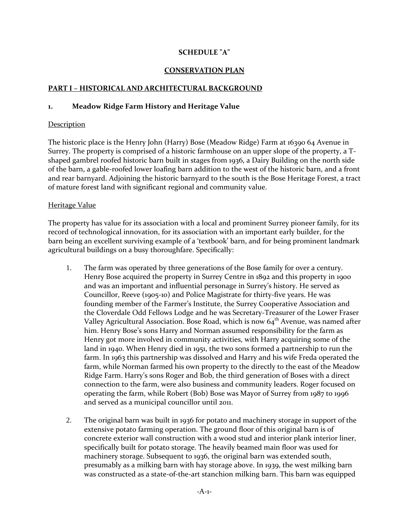### **SCHEDULE "A"**

#### **CONSERVATION PLAN**

#### **PART I – HISTORICAL AND ARCHITECTURAL BACKGROUND**

#### **1. Meadow Ridge Farm History and Heritage Value**

#### **Description**

The historic place is the Henry John (Harry) Bose (Meadow Ridge) Farm at 16390 64 Avenue in Surrey. The property is comprised of a historic farmhouse on an upper slope of the property, a Tshaped gambrel roofed historic barn built in stages from 1936, a Dairy Building on the north side of the barn, a gable-roofed lower loafing barn addition to the west of the historic barn, and a front and rear barnyard. Adjoining the historic barnyard to the south is the Bose Heritage Forest, a tract of mature forest land with significant regional and community value.

#### Heritage Value

The property has value for its association with a local and prominent Surrey pioneer family, for its record of technological innovation, for its association with an important early builder, for the barn being an excellent surviving example of a 'textbook' barn, and for being prominent landmark agricultural buildings on a busy thoroughfare. Specifically:

- 1. The farm was operated by three generations of the Bose family for over a century. Henry Bose acquired the property in Surrey Centre in 1892 and this property in 1900 and was an important and influential personage in Surrey's history. He served as Councillor, Reeve (1905-10) and Police Magistrate for thirty-five years. He was founding member of the Farmer's Institute, the Surrey Cooperative Association and the Cloverdale Odd Fellows Lodge and he was Secretary-Treasurer of the Lower Fraser Valley Agricultural Association. Bose Road, which is now  $64<sup>th</sup>$  Avenue, was named after him. Henry Bose's sons Harry and Norman assumed responsibility for the farm as Henry got more involved in community activities, with Harry acquiring some of the land in 1940. When Henry died in 1951, the two sons formed a partnership to run the farm. In 1963 this partnership was dissolved and Harry and his wife Freda operated the farm, while Norman farmed his own property to the directly to the east of the Meadow Ridge Farm. Harry's sons Roger and Bob, the third generation of Boses with a direct connection to the farm, were also business and community leaders. Roger focused on operating the farm, while Robert (Bob) Bose was Mayor of Surrey from 1987 to 1996 and served as a municipal councillor until 2011.
- 2. The original barn was built in 1936 for potato and machinery storage in support of the extensive potato farming operation. The ground floor of this original barn is of concrete exterior wall construction with a wood stud and interior plank interior liner, specifically built for potato storage. The heavily beamed main floor was used for machinery storage. Subsequent to 1936, the original barn was extended south, presumably as a milking barn with hay storage above. In 1939, the west milking barn was constructed as a state-of-the-art stanchion milking barn. This barn was equipped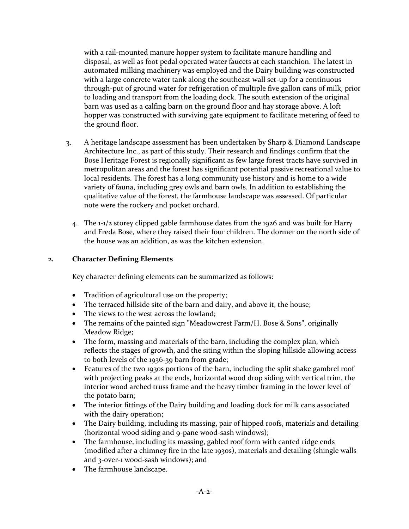with a rail-mounted manure hopper system to facilitate manure handling and disposal, as well as foot pedal operated water faucets at each stanchion. The latest in automated milking machinery was employed and the Dairy building was constructed with a large concrete water tank along the southeast wall set-up for a continuous through-put of ground water for refrigeration of multiple five gallon cans of milk, prior to loading and transport from the loading dock. The south extension of the original barn was used as a calfing barn on the ground floor and hay storage above. A loft hopper was constructed with surviving gate equipment to facilitate metering of feed to the ground floor.

- 3. A heritage landscape assessment has been undertaken by Sharp & Diamond Landscape Architecture Inc., as part of this study. Their research and findings confirm that the Bose Heritage Forest is regionally significant as few large forest tracts have survived in metropolitan areas and the forest has significant potential passive recreational value to local residents. The forest has a long community use history and is home to a wide variety of fauna, including grey owls and barn owls. In addition to establishing the qualitative value of the forest, the farmhouse landscape was assessed. Of particular note were the rockery and pocket orchard.
	- 4. The 1-1/2 storey clipped gable farmhouse dates from the 1926 and was built for Harry and Freda Bose, where they raised their four children. The dormer on the north side of the house was an addition, as was the kitchen extension.

### **2. Character Defining Elements**

Key character defining elements can be summarized as follows:

- Tradition of agricultural use on the property;
- The terraced hillside site of the barn and dairy, and above it, the house;
- The views to the west across the lowland:
- The remains of the painted sign "Meadowcrest Farm/H. Bose & Sons", originally Meadow Ridge;
- The form, massing and materials of the barn, including the complex plan, which reflects the stages of growth, and the siting within the sloping hillside allowing access to both levels of the 1936-39 barn from grade;
- Features of the two 1930s portions of the barn, including the split shake gambrel roof with projecting peaks at the ends, horizontal wood drop siding with vertical trim, the interior wood arched truss frame and the heavy timber framing in the lower level of the potato barn;
- The interior fittings of the Dairy building and loading dock for milk cans associated with the dairy operation;
- The Dairy building, including its massing, pair of hipped roofs, materials and detailing (horizontal wood siding and 9-pane wood-sash windows);
- The farmhouse, including its massing, gabled roof form with canted ridge ends (modified after a chimney fire in the late 1930s), materials and detailing (shingle walls and 3-over-1 wood-sash windows); and
- The farmhouse landscape.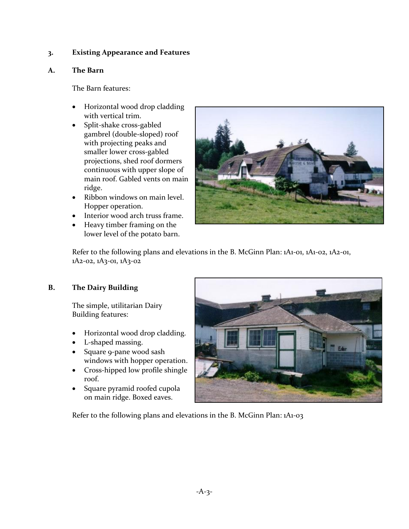### **3. Existing Appearance and Features**

### **A. The Barn**

The Barn features:

- Horizontal wood drop cladding with vertical trim.
- Split-shake cross-gabled gambrel (double-sloped) roof with projecting peaks and smaller lower cross-gabled projections, shed roof dormers continuous with upper slope of main roof. Gabled vents on main ridge.
- Ribbon windows on main level. Hopper operation.
- Interior wood arch truss frame.
- Heavy timber framing on the lower level of the potato barn.



Refer to the following plans and elevations in the B. McGinn Plan: 1A1-01, 1A1-02, 1A2-01, 1A2-02, 1A3-01, 1A3-02

## **B. The Dairy Building**

The simple, utilitarian Dairy Building features:

- Horizontal wood drop cladding.
- L-shaped massing.
- Square 9-pane wood sash windows with hopper operation.
- Cross-hipped low profile shingle roof.
- Square pyramid roofed cupola on main ridge. Boxed eaves.



Refer to the following plans and elevations in the B. McGinn Plan: 1A1-03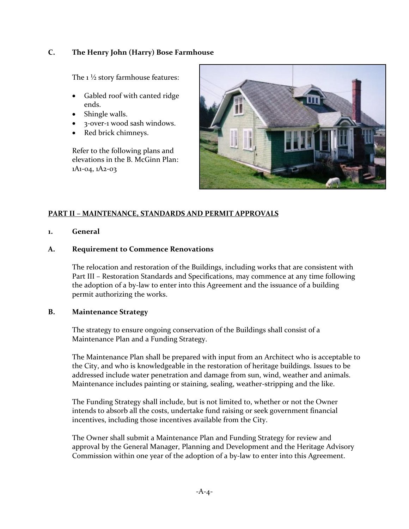### **C. The Henry John (Harry) Bose Farmhouse**

The  $1\frac{1}{2}$  story farmhouse features:

- Gabled roof with canted ridge ends.
- Shingle walls.
- 3-over-1 wood sash windows.
- Red brick chimneys.

Refer to the following plans and elevations in the B. McGinn Plan: 1A1-04, 1A2-03



## **PART II – MAINTENANCE, STANDARDS AND PERMIT APPROVALS**

### **1. General**

### **A. Requirement to Commence Renovations**

The relocation and restoration of the Buildings, including works that are consistent with Part III – Restoration Standards and Specifications, may commence at any time following the adoption of a by-law to enter into this Agreement and the issuance of a building permit authorizing the works.

### **B. Maintenance Strategy**

The strategy to ensure ongoing conservation of the Buildings shall consist of a Maintenance Plan and a Funding Strategy.

The Maintenance Plan shall be prepared with input from an Architect who is acceptable to the City, and who is knowledgeable in the restoration of heritage buildings. Issues to be addressed include water penetration and damage from sun, wind, weather and animals. Maintenance includes painting or staining, sealing, weather-stripping and the like.

The Funding Strategy shall include, but is not limited to, whether or not the Owner intends to absorb all the costs, undertake fund raising or seek government financial incentives, including those incentives available from the City.

The Owner shall submit a Maintenance Plan and Funding Strategy for review and approval by the General Manager, Planning and Development and the Heritage Advisory Commission within one year of the adoption of a by-law to enter into this Agreement.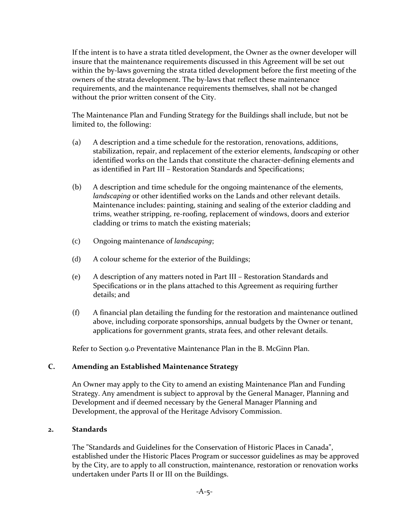If the intent is to have a strata titled development, the Owner as the owner developer will insure that the maintenance requirements discussed in this Agreement will be set out within the by-laws governing the strata titled development before the first meeting of the owners of the strata development. The by-laws that reflect these maintenance requirements, and the maintenance requirements themselves, shall not be changed without the prior written consent of the City.

The Maintenance Plan and Funding Strategy for the Buildings shall include, but not be limited to, the following:

- (a) A description and a time schedule for the restoration, renovations, additions, stabilization, repair, and replacement of the exterior elements, *landscaping* or other identified works on the Lands that constitute the character-defining elements and as identified in Part III – Restoration Standards and Specifications;
- (b) A description and time schedule for the ongoing maintenance of the elements, *landscaping* or other identified works on the Lands and other relevant details. Maintenance includes: painting, staining and sealing of the exterior cladding and trims, weather stripping, re-roofing, replacement of windows, doors and exterior cladding or trims to match the existing materials;
- (c) Ongoing maintenance of *landscaping*;
- (d) A colour scheme for the exterior of the Buildings;
- (e) A description of any matters noted in Part III Restoration Standards and Specifications or in the plans attached to this Agreement as requiring further details; and
- (f) A financial plan detailing the funding for the restoration and maintenance outlined above, including corporate sponsorships, annual budgets by the Owner or tenant, applications for government grants, strata fees, and other relevant details.

Refer to Section 9.0 Preventative Maintenance Plan in the B. McGinn Plan.

## **C. Amending an Established Maintenance Strategy**

An Owner may apply to the City to amend an existing Maintenance Plan and Funding Strategy. Any amendment is subject to approval by the General Manager, Planning and Development and if deemed necessary by the General Manager Planning and Development, the approval of the Heritage Advisory Commission.

### **2. Standards**

The "Standards and Guidelines for the Conservation of Historic Places in Canada", established under the Historic Places Program or successor guidelines as may be approved by the City, are to apply to all construction, maintenance, restoration or renovation works undertaken under Parts II or III on the Buildings.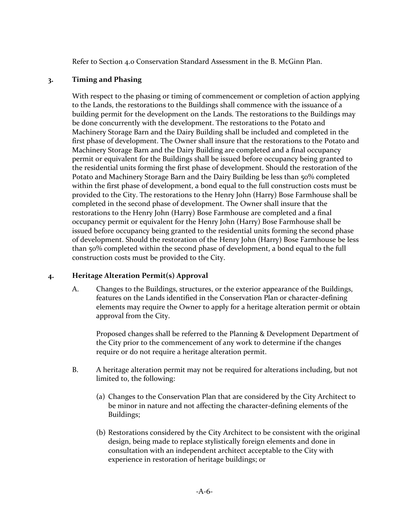Refer to Section 4.0 Conservation Standard Assessment in the B. McGinn Plan.

### **3. Timing and Phasing**

With respect to the phasing or timing of commencement or completion of action applying to the Lands, the restorations to the Buildings shall commence with the issuance of a building permit for the development on the Lands. The restorations to the Buildings may be done concurrently with the development. The restorations to the Potato and Machinery Storage Barn and the Dairy Building shall be included and completed in the first phase of development. The Owner shall insure that the restorations to the Potato and Machinery Storage Barn and the Dairy Building are completed and a final occupancy permit or equivalent for the Buildings shall be issued before occupancy being granted to the residential units forming the first phase of development. Should the restoration of the Potato and Machinery Storage Barn and the Dairy Building be less than 50% completed within the first phase of development, a bond equal to the full construction costs must be provided to the City. The restorations to the Henry John (Harry) Bose Farmhouse shall be completed in the second phase of development. The Owner shall insure that the restorations to the Henry John (Harry) Bose Farmhouse are completed and a final occupancy permit or equivalent for the Henry John (Harry) Bose Farmhouse shall be issued before occupancy being granted to the residential units forming the second phase of development. Should the restoration of the Henry John (Harry) Bose Farmhouse be less than 50% completed within the second phase of development, a bond equal to the full construction costs must be provided to the City.

## **4. Heritage Alteration Permit(s) Approval**

A. Changes to the Buildings, structures, or the exterior appearance of the Buildings, features on the Lands identified in the Conservation Plan or character-defining elements may require the Owner to apply for a heritage alteration permit or obtain approval from the City.

Proposed changes shall be referred to the Planning & Development Department of the City prior to the commencement of any work to determine if the changes require or do not require a heritage alteration permit.

- B. A heritage alteration permit may not be required for alterations including, but not limited to, the following:
	- (a) Changes to the Conservation Plan that are considered by the City Architect to be minor in nature and not affecting the character-defining elements of the Buildings;
	- (b) Restorations considered by the City Architect to be consistent with the original design, being made to replace stylistically foreign elements and done in consultation with an independent architect acceptable to the City with experience in restoration of heritage buildings; or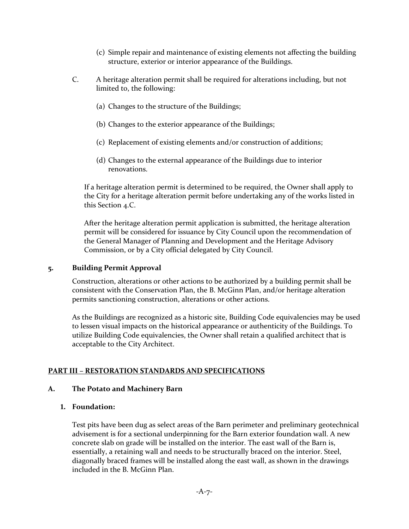- (c) Simple repair and maintenance of existing elements not affecting the building structure, exterior or interior appearance of the Buildings.
- C. A heritage alteration permit shall be required for alterations including, but not limited to, the following:
	- (a) Changes to the structure of the Buildings;
	- (b) Changes to the exterior appearance of the Buildings;
	- (c) Replacement of existing elements and/or construction of additions;
	- (d) Changes to the external appearance of the Buildings due to interior renovations.

If a heritage alteration permit is determined to be required, the Owner shall apply to the City for a heritage alteration permit before undertaking any of the works listed in this Section 4.C.

After the heritage alteration permit application is submitted, the heritage alteration permit will be considered for issuance by City Council upon the recommendation of the General Manager of Planning and Development and the Heritage Advisory Commission, or by a City official delegated by City Council.

### **5. Building Permit Approval**

Construction, alterations or other actions to be authorized by a building permit shall be consistent with the Conservation Plan, the B. McGinn Plan, and/or heritage alteration permits sanctioning construction, alterations or other actions.

As the Buildings are recognized as a historic site, Building Code equivalencies may be used to lessen visual impacts on the historical appearance or authenticity of the Buildings. To utilize Building Code equivalencies, the Owner shall retain a qualified architect that is acceptable to the City Architect.

### **PART III – RESTORATION STANDARDS AND SPECIFICATIONS**

### **A. The Potato and Machinery Barn**

### **1. Foundation:**

Test pits have been dug as select areas of the Barn perimeter and preliminary geotechnical advisement is for a sectional underpinning for the Barn exterior foundation wall. A new concrete slab on grade will be installed on the interior. The east wall of the Barn is, essentially, a retaining wall and needs to be structurally braced on the interior. Steel, diagonally braced frames will be installed along the east wall, as shown in the drawings included in the B. McGinn Plan.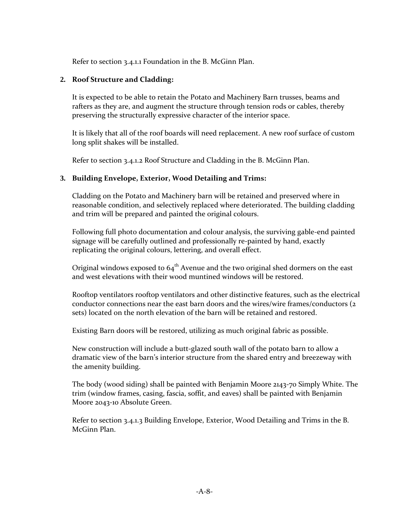Refer to section 3.4.1.1 Foundation in the B. McGinn Plan.

### **2. Roof Structure and Cladding:**

It is expected to be able to retain the Potato and Machinery Barn trusses, beams and rafters as they are, and augment the structure through tension rods or cables, thereby preserving the structurally expressive character of the interior space.

It is likely that all of the roof boards will need replacement. A new roof surface of custom long split shakes will be installed.

Refer to section 3.4.1.2 Roof Structure and Cladding in the B. McGinn Plan.

### **3. Building Envelope, Exterior, Wood Detailing and Trims:**

Cladding on the Potato and Machinery barn will be retained and preserved where in reasonable condition, and selectively replaced where deteriorated. The building cladding and trim will be prepared and painted the original colours.

Following full photo documentation and colour analysis, the surviving gable-end painted signage will be carefully outlined and professionally re-painted by hand, exactly replicating the original colours, lettering, and overall effect.

Original windows exposed to  $64<sup>th</sup>$  Avenue and the two original shed dormers on the east and west elevations with their wood muntined windows will be restored.

Rooftop ventilators rooftop ventilators and other distinctive features, such as the electrical conductor connections near the east barn doors and the wires/wire frames/conductors (2 sets) located on the north elevation of the barn will be retained and restored.

Existing Barn doors will be restored, utilizing as much original fabric as possible.

New construction will include a butt-glazed south wall of the potato barn to allow a dramatic view of the barn's interior structure from the shared entry and breezeway with the amenity building.

The body (wood siding) shall be painted with Benjamin Moore 2143-70 Simply White. The trim (window frames, casing, fascia, soffit, and eaves) shall be painted with Benjamin Moore 2043-10 Absolute Green.

Refer to section 3.4.1.3 Building Envelope, Exterior, Wood Detailing and Trims in the B. McGinn Plan.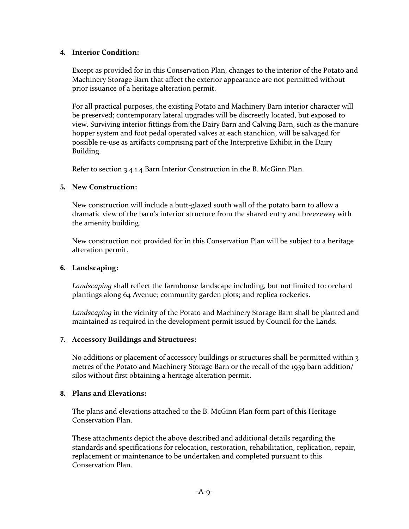### **4. Interior Condition:**

Except as provided for in this Conservation Plan, changes to the interior of the Potato and Machinery Storage Barn that affect the exterior appearance are not permitted without prior issuance of a heritage alteration permit.

For all practical purposes, the existing Potato and Machinery Barn interior character will be preserved; contemporary lateral upgrades will be discreetly located, but exposed to view. Surviving interior fittings from the Dairy Barn and Calving Barn, such as the manure hopper system and foot pedal operated valves at each stanchion, will be salvaged for possible re-use as artifacts comprising part of the Interpretive Exhibit in the Dairy Building.

Refer to section 3.4.1.4 Barn Interior Construction in the B. McGinn Plan.

### **5. New Construction:**

New construction will include a butt-glazed south wall of the potato barn to allow a dramatic view of the barn's interior structure from the shared entry and breezeway with the amenity building.

New construction not provided for in this Conservation Plan will be subject to a heritage alteration permit.

#### **6. Landscaping:**

*Landscaping* shall reflect the farmhouse landscape including, but not limited to: orchard plantings along 64 Avenue; community garden plots; and replica rockeries.

*Landscaping* in the vicinity of the Potato and Machinery Storage Barn shall be planted and maintained as required in the development permit issued by Council for the Lands.

### **7. Accessory Buildings and Structures:**

No additions or placement of accessory buildings or structures shall be permitted within 3 metres of the Potato and Machinery Storage Barn or the recall of the 1939 barn addition/ silos without first obtaining a heritage alteration permit.

### **8. Plans and Elevations:**

The plans and elevations attached to the B. McGinn Plan form part of this Heritage Conservation Plan.

These attachments depict the above described and additional details regarding the standards and specifications for relocation, restoration, rehabilitation, replication, repair, replacement or maintenance to be undertaken and completed pursuant to this Conservation Plan.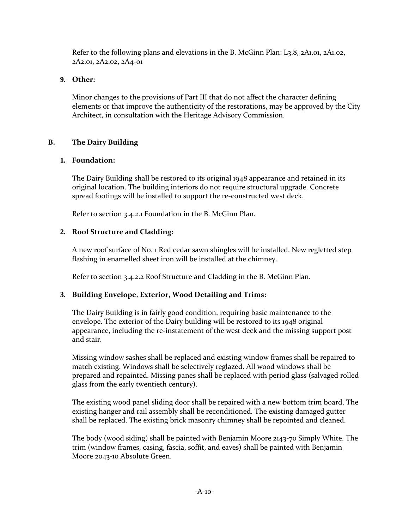Refer to the following plans and elevations in the B. McGinn Plan: L3.8, 2A1.01, 2A1.02, 2A2.01, 2A2.02, 2A4-01

## **9. Other:**

Minor changes to the provisions of Part III that do not affect the character defining elements or that improve the authenticity of the restorations, may be approved by the City Architect, in consultation with the Heritage Advisory Commission.

# **B. The Dairy Building**

# **1. Foundation:**

The Dairy Building shall be restored to its original 1948 appearance and retained in its original location. The building interiors do not require structural upgrade. Concrete spread footings will be installed to support the re-constructed west deck.

Refer to section 3.4.2.1 Foundation in the B. McGinn Plan.

# **2. Roof Structure and Cladding:**

A new roof surface of No. 1 Red cedar sawn shingles will be installed. New regletted step flashing in enamelled sheet iron will be installed at the chimney.

Refer to section 3.4.2.2 Roof Structure and Cladding in the B. McGinn Plan.

# **3. Building Envelope, Exterior, Wood Detailing and Trims:**

The Dairy Building is in fairly good condition, requiring basic maintenance to the envelope. The exterior of the Dairy building will be restored to its 1948 original appearance, including the re-instatement of the west deck and the missing support post and stair.

Missing window sashes shall be replaced and existing window frames shall be repaired to match existing. Windows shall be selectively reglazed. All wood windows shall be prepared and repainted. Missing panes shall be replaced with period glass (salvaged rolled glass from the early twentieth century).

The existing wood panel sliding door shall be repaired with a new bottom trim board. The existing hanger and rail assembly shall be reconditioned. The existing damaged gutter shall be replaced. The existing brick masonry chimney shall be repointed and cleaned.

The body (wood siding) shall be painted with Benjamin Moore 2143-70 Simply White. The trim (window frames, casing, fascia, soffit, and eaves) shall be painted with Benjamin Moore 2043-10 Absolute Green.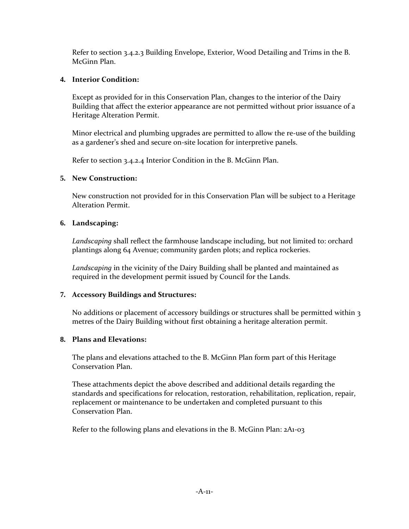Refer to section 3.4.2.3 Building Envelope, Exterior, Wood Detailing and Trims in the B. McGinn Plan.

### **4. Interior Condition:**

Except as provided for in this Conservation Plan, changes to the interior of the Dairy Building that affect the exterior appearance are not permitted without prior issuance of a Heritage Alteration Permit.

Minor electrical and plumbing upgrades are permitted to allow the re-use of the building as a gardener's shed and secure on-site location for interpretive panels.

Refer to section 3.4.2.4 Interior Condition in the B. McGinn Plan.

### **5. New Construction:**

New construction not provided for in this Conservation Plan will be subject to a Heritage Alteration Permit.

### **6. Landscaping:**

*Landscaping* shall reflect the farmhouse landscape including, but not limited to: orchard plantings along 64 Avenue; community garden plots; and replica rockeries.

*Landscaping* in the vicinity of the Dairy Building shall be planted and maintained as required in the development permit issued by Council for the Lands.

## **7. Accessory Buildings and Structures:**

No additions or placement of accessory buildings or structures shall be permitted within 3 metres of the Dairy Building without first obtaining a heritage alteration permit.

## **8. Plans and Elevations:**

The plans and elevations attached to the B. McGinn Plan form part of this Heritage Conservation Plan.

These attachments depict the above described and additional details regarding the standards and specifications for relocation, restoration, rehabilitation, replication, repair, replacement or maintenance to be undertaken and completed pursuant to this Conservation Plan.

Refer to the following plans and elevations in the B. McGinn Plan: 2A1-03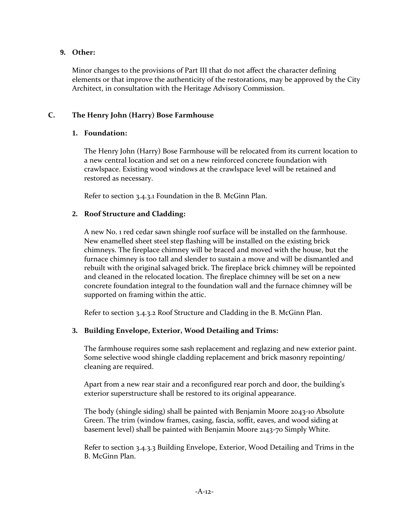### **9. Other:**

Minor changes to the provisions of Part III that do not affect the character defining elements or that improve the authenticity of the restorations, may be approved by the City Architect, in consultation with the Heritage Advisory Commission.

### **C. The Henry John (Harry) Bose Farmhouse**

### **1. Foundation:**

The Henry John (Harry) Bose Farmhouse will be relocated from its current location to a new central location and set on a new reinforced concrete foundation with crawlspace. Existing wood windows at the crawlspace level will be retained and restored as necessary.

Refer to section 3.4.3.1 Foundation in the B. McGinn Plan.

### **2. Roof Structure and Cladding:**

A new No. 1 red cedar sawn shingle roof surface will be installed on the farmhouse. New enamelled sheet steel step flashing will be installed on the existing brick chimneys. The fireplace chimney will be braced and moved with the house, but the furnace chimney is too tall and slender to sustain a move and will be dismantled and rebuilt with the original salvaged brick. The fireplace brick chimney will be repointed and cleaned in the relocated location. The fireplace chimney will be set on a new concrete foundation integral to the foundation wall and the furnace chimney will be supported on framing within the attic.

Refer to section 3.4.3.2 Roof Structure and Cladding in the B. McGinn Plan.

## **3. Building Envelope, Exterior, Wood Detailing and Trims:**

The farmhouse requires some sash replacement and reglazing and new exterior paint. Some selective wood shingle cladding replacement and brick masonry repointing/ cleaning are required.

Apart from a new rear stair and a reconfigured rear porch and door, the building's exterior superstructure shall be restored to its original appearance.

The body (shingle siding) shall be painted with Benjamin Moore 2043-10 Absolute Green. The trim (window frames, casing, fascia, soffit, eaves, and wood siding at basement level) shall be painted with Benjamin Moore 2143-70 Simply White.

Refer to section 3.4.3.3 Building Envelope, Exterior, Wood Detailing and Trims in the B. McGinn Plan.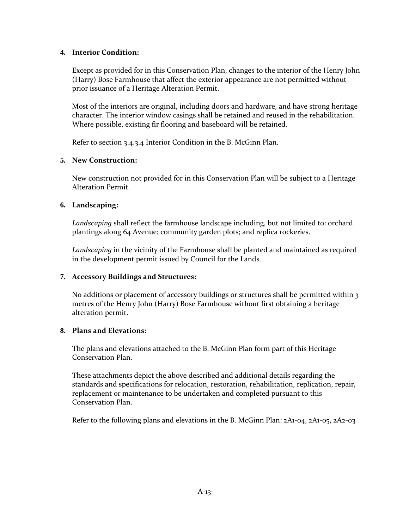### **4. Interior Condition:**

Except as provided for in this Conservation Plan, changes to the interior of the Henry John (Harry) Bose Farmhouse that affect the exterior appearance are not permitted without prior issuance of a Heritage Alteration Permit.

Most of the interiors are original, including doors and hardware, and have strong heritage character. The interior window casings shall be retained and reused in the rehabilitation. Where possible, existing fir flooring and baseboard will be retained.

Refer to section 3.4.3.4 Interior Condition in the B. McGinn Plan.

## **5. New Construction:**

New construction not provided for in this Conservation Plan will be subject to a Heritage Alteration Permit.

### **6. Landscaping:**

*Landscaping* shall reflect the farmhouse landscape including, but not limited to: orchard plantings along 64 Avenue; community garden plots; and replica rockeries.

*Landscaping* in the vicinity of the Farmhouse shall be planted and maintained as required in the development permit issued by Council for the Lands.

## **7. Accessory Buildings and Structures:**

No additions or placement of accessory buildings or structures shall be permitted within 3 metres of the Henry John (Harry) Bose Farmhouse without first obtaining a heritage alteration permit.

## **8. Plans and Elevations:**

The plans and elevations attached to the B. McGinn Plan form part of this Heritage Conservation Plan.

These attachments depict the above described and additional details regarding the standards and specifications for relocation, restoration, rehabilitation, replication, repair, replacement or maintenance to be undertaken and completed pursuant to this Conservation Plan.

Refer to the following plans and elevations in the B. McGinn Plan: 2A1-04, 2A1-05, 2A2-03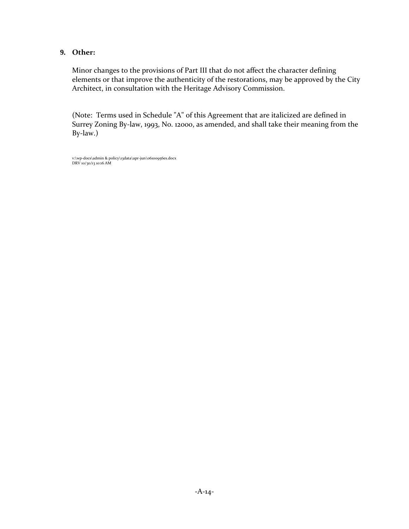### **9. Other:**

Minor changes to the provisions of Part III that do not affect the character defining elements or that improve the authenticity of the restorations, may be approved by the City Architect, in consultation with the Heritage Advisory Commission.

(Note: Terms used in Schedule "A" of this Agreement that are italicized are defined in Surrey Zoning By-law, 1993, No. 12000, as amended, and shall take their meaning from the By-law.)

v:\wp-docs\admin & policy\13data\apr-jun\06100956es.docx DRV 10/30/13 10:16 AM